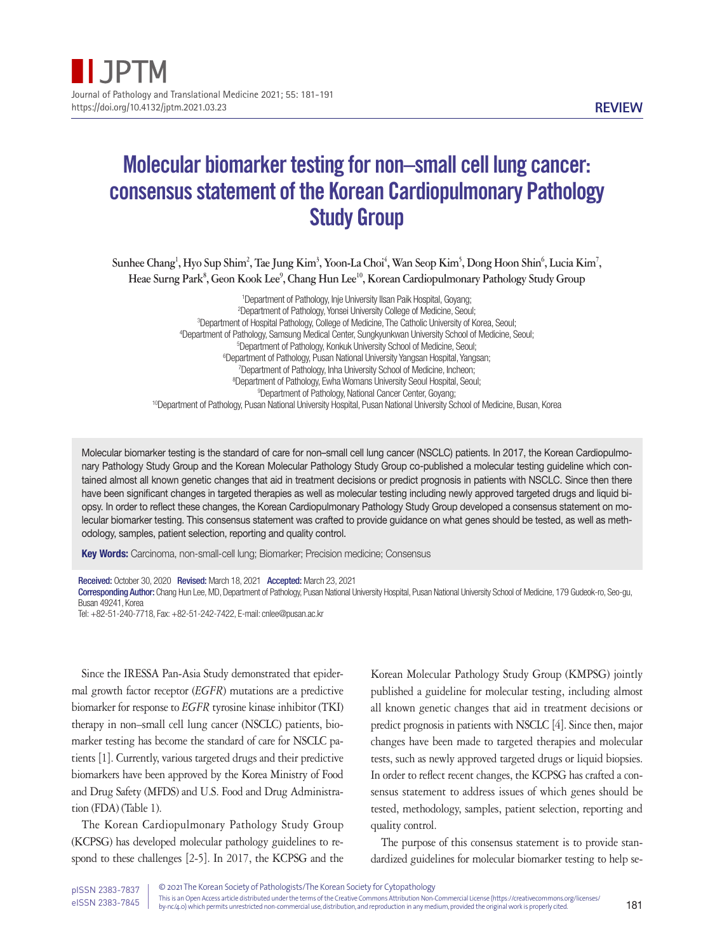# Molecular biomarker testing for non–small cell lung cancer: consensus statement of the Korean Cardiopulmonary Pathology Study Group

 $\delta$ Sunhee Chang<sup>1</sup>, Hyo Sup Shim<sup>2</sup>, Tae Jung Kim<sup>3</sup>, Yoon-La Choi<sup>4</sup>, Wan Seop Kim<sup>5</sup>, Dong Hoon Shin<sup>6</sup>, Lucia Kim<sup>7</sup>, **Heae Surng Park8 , Geon Kook Lee9 , Chang Hun Lee10, Korean Cardiopulmonary Pathology Study Group**

<sup>1</sup>Department of Pathology, Inje University Ilsan Paik Hospital, Goyang; Department of Pathology, Yonsei University College of Medicine, Seoul; Department of Hospital Pathology, College of Medicine, The Catholic University of Korea, Seoul; Department of Pathology, Samsung Medical Center, Sungkyunkwan University School of Medicine, Seoul; Department of Pathology, Konkuk University School of Medicine, Seoul; Department of Pathology, Pusan National University Yangsan Hospital, Yangsan; Department of Pathology, Inha University School of Medicine, Incheon; Department of Pathology, Ewha Womans University Seoul Hospital, Seoul; Department of Pathology, National Cancer Center, Goyang; <sup>10</sup>Department of Pathology, Pusan National University Hospital, Pusan National University School of Medicine, Busan, Korea

Molecular biomarker testing is the standard of care for non–small cell lung cancer (NSCLC) patients. In 2017, the Korean Cardiopulmonary Pathology Study Group and the Korean Molecular Pathology Study Group co-published a molecular testing guideline which contained almost all known genetic changes that aid in treatment decisions or predict prognosis in patients with NSCLC. Since then there have been significant changes in targeted therapies as well as molecular testing including newly approved targeted drugs and liquid biopsy. In order to reflect these changes, the Korean Cardiopulmonary Pathology Study Group developed a consensus statement on molecular biomarker testing. This consensus statement was crafted to provide guidance on what genes should be tested, as well as methodology, samples, patient selection, reporting and quality control.

Key Words: Carcinoma, non-small-cell lung; Biomarker; Precision medicine; Consensus

Received: October 30, 2020 Revised: March 18, 2021 Accepted: March 23, 2021 Corresponding Author: Chang Hun Lee, MD, Department of Pathology, Pusan National University Hospital, Pusan National University School of Medicine, 179 Gudeok-ro, Seo-gu, Busan 49241, Korea

Tel: +82-51-240-7718, Fax: +82-51-242-7422, E-mail: cnlee@pusan.ac.kr

Since the IRESSA Pan-Asia Study demonstrated that epidermal growth factor receptor (*EGFR*) mutations are a predictive biomarker for response to *EGFR* tyrosine kinase inhibitor (TKI) therapy in non–small cell lung cancer (NSCLC) patients, biomarker testing has become the standard of care for NSCLC patients [1]. Currently, various targeted drugs and their predictive biomarkers have been approved by the Korea Ministry of Food and Drug Safety (MFDS) and U.S. Food and Drug Administration (FDA) (Table 1).

The Korean Cardiopulmonary Pathology Study Group (KCPSG) has developed molecular pathology guidelines to respond to these challenges [2-5]. In 2017, the KCPSG and the

Korean Molecular Pathology Study Group (KMPSG) jointly published a guideline for molecular testing, including almost all known genetic changes that aid in treatment decisions or predict prognosis in patients with NSCLC [4]. Since then, major changes have been made to targeted therapies and molecular tests, such as newly approved targeted drugs or liquid biopsies. In order to reflect recent changes, the KCPSG has crafted a consensus statement to address issues of which genes should be tested, methodology, samples, patient selection, reporting and quality control.

The purpose of this consensus statement is to provide standardized guidelines for molecular biomarker testing to help se-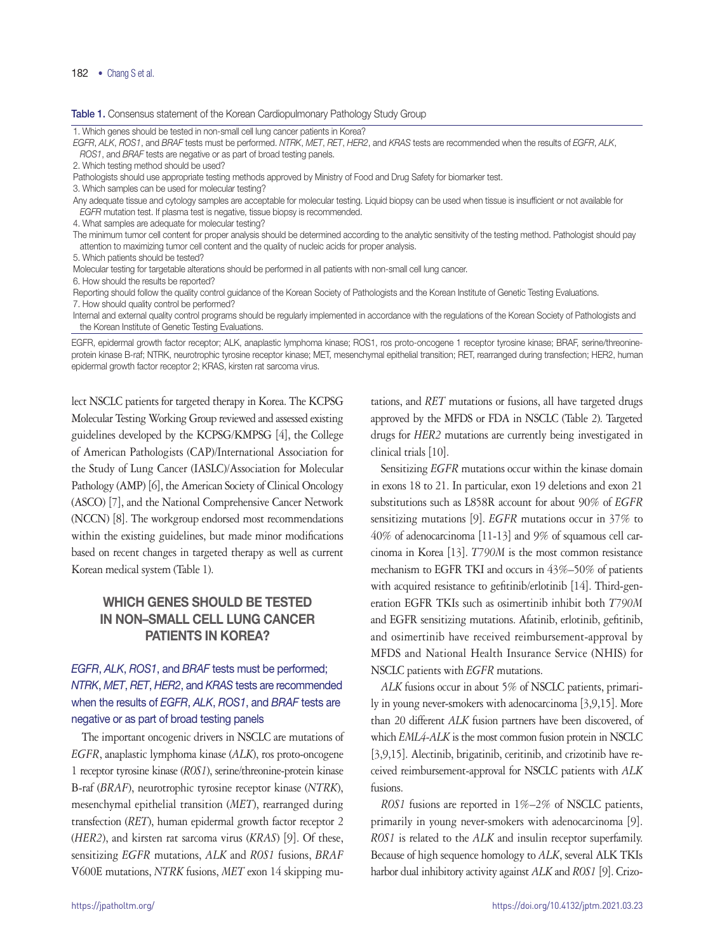#### Table 1. Consensus statement of the Korean Cardiopulmonary Pathology Study Group

1. Which genes should be tested in non-small cell lung cancer patients in Korea?

*EGFR*, *ALK*, *ROS1*, and *BRAF* tests must be performed. *NTRK*, *MET*, *RET*, *HER2*, and *KRAS* tests are recommended when the results of *EGFR*, *ALK*, *ROS1*, and *BRAF* tests are negative or as part of broad testing panels.

2. Which testing method should be used?

Pathologists should use appropriate testing methods approved by Ministry of Food and Drug Safety for biomarker test.

3. Which samples can be used for molecular testing?

Any adequate tissue and cytology samples are acceptable for molecular testing. Liquid biopsy can be used when tissue is insufficient or not available for *EGFR* mutation test. If plasma test is negative, tissue biopsy is recommended.

4. What samples are adequate for molecular testing?

The minimum tumor cell content for proper analysis should be determined according to the analytic sensitivity of the testing method. Pathologist should pay attention to maximizing tumor cell content and the quality of nucleic acids for proper analysis.

5. Which patients should be tested?

Molecular testing for targetable alterations should be performed in all patients with non-small cell lung cancer.

6. How should the results be reported?

Reporting should follow the quality control guidance of the Korean Society of Pathologists and the Korean Institute of Genetic Testing Evaluations. 7. How should quality control be performed?

Internal and external quality control programs should be regularly implemented in accordance with the regulations of the Korean Society of Pathologists and the Korean Institute of Genetic Testing Evaluations.

EGFR, epidermal growth factor receptor; ALK, anaplastic lymphoma kinase; ROS1, ros proto-oncogene 1 receptor tyrosine kinase; BRAF, serine/threonineprotein kinase B-raf; NTRK, neurotrophic tyrosine receptor kinase; MET, mesenchymal epithelial transition; RET, rearranged during transfection; HER2, human epidermal growth factor receptor 2; KRAS, kirsten rat sarcoma virus.

lect NSCLC patients for targeted therapy in Korea. The KCPSG Molecular Testing Working Group reviewed and assessed existing guidelines developed by the KCPSG/KMPSG [4], the College of American Pathologists (CAP)/International Association for the Study of Lung Cancer (IASLC)/Association for Molecular Pathology (AMP) [6], the American Society of Clinical Oncology (ASCO) [7], and the National Comprehensive Cancer Network (NCCN) [8]. The workgroup endorsed most recommendations within the existing guidelines, but made minor modifications based on recent changes in targeted therapy as well as current Korean medical system (Table 1).

# WHICH GENES SHOULD BE TESTED IN NON–SMALL CELL LUNG CANCER PATIENTS IN KOREA?

# *EGFR*, *ALK*, *ROS1*, and *BRAF* tests must be performed; *NTRK*, *MET*, *RET*, *HER2*, and *KRAS* tests are recommended when the results of *EGFR*, *ALK*, *ROS1*, and *BRAF* tests are negative or as part of broad testing panels

The important oncogenic drivers in NSCLC are mutations of *EGFR*, anaplastic lymphoma kinase (*ALK*), ros proto-oncogene 1 receptor tyrosine kinase (*ROS1*), serine/threonine-protein kinase B-raf (*BRAF*), neurotrophic tyrosine receptor kinase (*NTRK*), mesenchymal epithelial transition (*MET*), rearranged during transfection (*RET*), human epidermal growth factor receptor 2 (*HER2*), and kirsten rat sarcoma virus (*KRAS*) [9]. Of these, sensitizing *EGFR* mutations, *ALK* and *ROS1* fusions, *BRAF* V600E mutations, *NTRK* fusions, *MET* exon 14 skipping mu-

tations, and *RET* mutations or fusions, all have targeted drugs approved by the MFDS or FDA in NSCLC (Table 2). Targeted drugs for *HER2* mutations are currently being investigated in clinical trials [10].

Sensitizing *EGFR* mutations occur within the kinase domain in exons 18 to 21. In particular, exon 19 deletions and exon 21 substitutions such as L858R account for about 90% of *EGFR* sensitizing mutations [9]. *EGFR* mutations occur in 37% to 40% of adenocarcinoma [11-13] and 9% of squamous cell carcinoma in Korea [13]. *T790M* is the most common resistance mechanism to EGFR TKI and occurs in 43%–50% of patients with acquired resistance to gefitinib/erlotinib [14]. Third-generation EGFR TKIs such as osimertinib inhibit both *T790M* and EGFR sensitizing mutations. Afatinib, erlotinib, gefitinib, and osimertinib have received reimbursement-approval by MFDS and National Health Insurance Service (NHIS) for NSCLC patients with *EGFR* mutations.

*ALK* fusions occur in about 5% of NSCLC patients, primarily in young never-smokers with adenocarcinoma [3,9,15]. More than 20 different *ALK* fusion partners have been discovered, of which *EML4-ALK* is the most common fusion protein in NSCLC [3,9,15]. Alectinib, brigatinib, ceritinib, and crizotinib have received reimbursement-approval for NSCLC patients with *ALK* fusions.

*ROS1* fusions are reported in 1%–2% of NSCLC patients, primarily in young never-smokers with adenocarcinoma [9]. *ROS1* is related to the *ALK* and insulin receptor superfamily. Because of high sequence homology to *ALK*, several ALK TKIs harbor dual inhibitory activity against *ALK* and *ROS1* [9]. Crizo-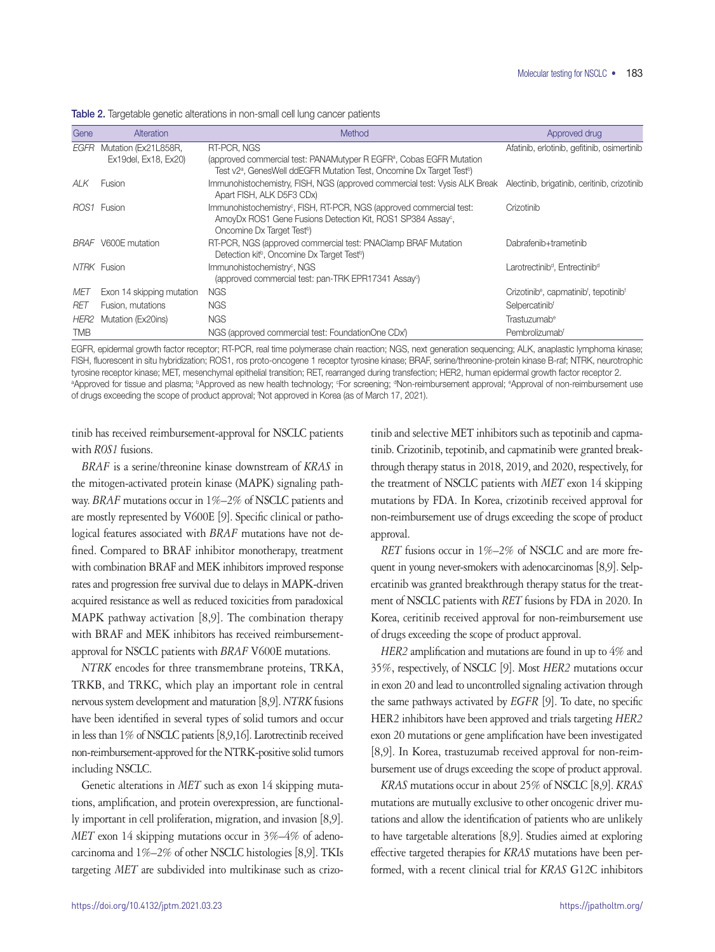| Gene       | Alteration                | Method                                                                                                                                                                                                | Approved drug                                                              |
|------------|---------------------------|-------------------------------------------------------------------------------------------------------------------------------------------------------------------------------------------------------|----------------------------------------------------------------------------|
| EGFR       | Mutation (Ex21L858R,      | RT-PCR, NGS                                                                                                                                                                                           | Afatinib, erlotinib, gefitinib, osimertinib                                |
|            | Ex19del, Ex18, Ex20)      | (approved commercial test: PANAMutyper R EGFR <sup>a</sup> , Cobas EGFR Mutation<br>Test v2 <sup>a</sup> , GenesWell ddEGFR Mutation Test, Oncomine Dx Target Test <sup>b</sup> )                     |                                                                            |
| ALK.       | Fusion                    | Immunohistochemistry, FISH, NGS (approved commercial test: Vysis ALK Break Alectinib, brigatinib, ceritinib, crizotinib<br>Apart FISH, ALK D5F3 CDx)                                                  |                                                                            |
|            | ROS1 Fusion               | Immunohistochemistry <sup>c</sup> , FISH, RT-PCR, NGS (approved commercial test:<br>AmoyDx ROS1 Gene Fusions Detection Kit, ROS1 SP384 Assay <sup>c</sup> ,<br>Oncomine Dx Target Test <sup>b</sup> ) | Crizotinib                                                                 |
|            | BRAF V600E mutation       | RT-PCR, NGS (approved commercial test: PNAClamp BRAF Mutation<br>Detection kit <sup>b</sup> , Oncomine Dx Target Test <sup>b</sup> )                                                                  | Dabrafenib+trametinib                                                      |
|            | NTRK Fusion               | Immunohistochemistry <sup>c</sup> , NGS<br>(approved commercial test: pan-TRK EPR17341 Assay <sup>c</sup> )                                                                                           | Larotrectinib <sup>d</sup> , Entrectinib <sup>d</sup>                      |
| MET        | Exon 14 skipping mutation | <b>NGS</b>                                                                                                                                                                                            | Crizotinib <sup>e</sup> , capmatinib <sup>f</sup> , tepotinib <sup>f</sup> |
| RET        | Fusion, mutations         | <b>NGS</b>                                                                                                                                                                                            | Selpercatinib <sup>f</sup>                                                 |
| HER2       | Mutation (Ex20ins)        | <b>NGS</b>                                                                                                                                                                                            | Trastuzumab <sup>e</sup>                                                   |
| <b>TMB</b> |                           | NGS (approved commercial test: FoundationOne CDx <sup>1</sup> )                                                                                                                                       | Pembrolizumabf                                                             |

Table 2. Targetable genetic alterations in non-small cell lung cancer patients

EGFR, epidermal growth factor receptor; RT-PCR, real time polymerase chain reaction; NGS, next generation sequencing; ALK, anaplastic lymphoma kinase; FISH, fluorescent in situ hybridization; ROS1, ros proto-oncogene 1 receptor tyrosine kinase; BRAF, serine/threonine-protein kinase B-raf; NTRK, neurotrophic tyrosine receptor kinase; MET, mesenchymal epithelial transition; RET, rearranged during transfection; HER2, human epidermal growth factor receptor 2. ªApproved for tissue and plasma; <sup>b</sup>Approved as new health technology; <sup>c</sup>For screening; ªNon-reimbursement approval; ªApproval of non-reimbursement use of drugs exceeding the scope of product approval; f Not approved in Korea (as of March 17, 2021).

tinib has received reimbursement-approval for NSCLC patients with *ROS1* fusions.

*BRAF* is a serine/threonine kinase downstream of *KRAS* in the mitogen-activated protein kinase (MAPK) signaling pathway. *BRAF* mutations occur in 1%–2% of NSCLC patients and are mostly represented by V600E [9]. Specific clinical or pathological features associated with *BRAF* mutations have not defined. Compared to BRAF inhibitor monotherapy, treatment with combination BRAF and MEK inhibitors improved response rates and progression free survival due to delays in MAPK-driven acquired resistance as well as reduced toxicities from paradoxical MAPK pathway activation [8,9]. The combination therapy with BRAF and MEK inhibitors has received reimbursementapproval for NSCLC patients with *BRAF* V600E mutations.

*NTRK* encodes for three transmembrane proteins, TRKA, TRKB, and TRKC, which play an important role in central nervous system development and maturation [8,9]. *NTRK* fusions have been identified in several types of solid tumors and occur in less than 1% of NSCLC patients [8,9,16]. Larotrectinib received non-reimbursement-approved for the NTRK-positive solid tumors including NSCLC.

Genetic alterations in *MET* such as exon 14 skipping mutations, amplification, and protein overexpression, are functionally important in cell proliferation, migration, and invasion [8,9]. *MET* exon 14 skipping mutations occur in 3%–4% of adenocarcinoma and 1%–2% of other NSCLC histologies [8,9]. TKIs targeting *MET* are subdivided into multikinase such as crizo-

tinib and selective MET inhibitors such as tepotinib and capmatinib. Crizotinib, tepotinib, and capmatinib were granted breakthrough therapy status in 2018, 2019, and 2020, respectively, for the treatment of NSCLC patients with *MET* exon 14 skipping mutations by FDA. In Korea, crizotinib received approval for non-reimbursement use of drugs exceeding the scope of product approval.

*RET* fusions occur in 1%–2% of NSCLC and are more frequent in young never-smokers with adenocarcinomas [8,9]. Selpercatinib was granted breakthrough therapy status for the treatment of NSCLC patients with *RET* fusions by FDA in 2020. In Korea, ceritinib received approval for non-reimbursement use of drugs exceeding the scope of product approval.

*HER2* amplification and mutations are found in up to 4% and 35%, respectively, of NSCLC [9]. Most *HER2* mutations occur in exon 20 and lead to uncontrolled signaling activation through the same pathways activated by *EGFR* [9]. To date, no specific HER2 inhibitors have been approved and trials targeting *HER2* exon 20 mutations or gene amplification have been investigated [8,9]. In Korea, trastuzumab received approval for non-reimbursement use of drugs exceeding the scope of product approval.

*KRAS* mutations occur in about 25% of NSCLC [8,9]. *KRAS* mutations are mutually exclusive to other oncogenic driver mutations and allow the identification of patients who are unlikely to have targetable alterations [8,9]. Studies aimed at exploring effective targeted therapies for *KRAS* mutations have been performed, with a recent clinical trial for *KRAS* G12C inhibitors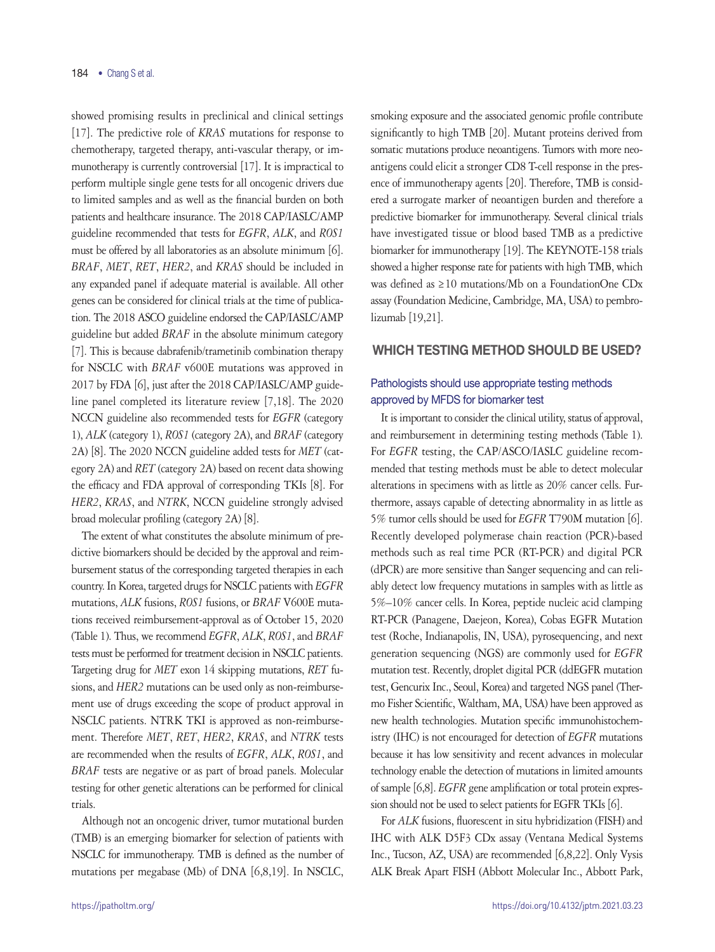showed promising results in preclinical and clinical settings [17]. The predictive role of *KRAS* mutations for response to chemotherapy, targeted therapy, anti-vascular therapy, or immunotherapy is currently controversial [17]. It is impractical to perform multiple single gene tests for all oncogenic drivers due to limited samples and as well as the financial burden on both patients and healthcare insurance. The 2018 CAP/IASLC/AMP guideline recommended that tests for *EGFR*, *ALK*, and *ROS1* must be offered by all laboratories as an absolute minimum [6]. *BRAF*, *MET*, *RET*, *HER2*, and *KRAS* should be included in any expanded panel if adequate material is available. All other genes can be considered for clinical trials at the time of publication. The 2018 ASCO guideline endorsed the CAP/IASLC/AMP guideline but added *BRAF* in the absolute minimum category [7]. This is because dabrafenib/trametinib combination therapy for NSCLC with *BRAF* v600E mutations was approved in 2017 by FDA [6], just after the 2018 CAP/IASLC/AMP guideline panel completed its literature review [7,18]. The 2020 NCCN guideline also recommended tests for *EGFR* (category 1), *ALK* (category 1), *ROS1* (category 2A), and *BRAF* (category 2A) [8]. The 2020 NCCN guideline added tests for *MET* (category 2A) and *RET* (category 2A) based on recent data showing the efficacy and FDA approval of corresponding TKIs [8]. For *HER2*, *KRAS*, and *NTRK*, NCCN guideline strongly advised broad molecular profiling (category 2A) [8].

The extent of what constitutes the absolute minimum of predictive biomarkers should be decided by the approval and reimbursement status of the corresponding targeted therapies in each country. In Korea, targeted drugs for NSCLC patients with *EGFR* mutations, *ALK* fusions, *ROS1* fusions, or *BRAF* V600E mutations received reimbursement-approval as of October 15, 2020 (Table 1). Thus, we recommend *EGFR*, *ALK*, *ROS1*, and *BRAF* tests must be performed for treatment decision in NSCLC patients. Targeting drug for *MET* exon 14 skipping mutations, *RET* fusions, and *HER2* mutations can be used only as non-reimbursement use of drugs exceeding the scope of product approval in NSCLC patients. NTRK TKI is approved as non-reimbursement. Therefore *MET*, *RET*, *HER2*, *KRAS*, and *NTRK* tests are recommended when the results of *EGFR*, *ALK*, *ROS1*, and *BRAF* tests are negative or as part of broad panels. Molecular testing for other genetic alterations can be performed for clinical trials.

Although not an oncogenic driver, tumor mutational burden (TMB) is an emerging biomarker for selection of patients with NSCLC for immunotherapy. TMB is defined as the number of mutations per megabase (Mb) of DNA [6,8,19]. In NSCLC,

smoking exposure and the associated genomic profile contribute significantly to high TMB [20]. Mutant proteins derived from somatic mutations produce neoantigens. Tumors with more neoantigens could elicit a stronger CD8 T-cell response in the presence of immunotherapy agents [20]. Therefore, TMB is considered a surrogate marker of neoantigen burden and therefore a predictive biomarker for immunotherapy. Several clinical trials have investigated tissue or blood based TMB as a predictive biomarker for immunotherapy [19]. The KEYNOTE-158 trials showed a higher response rate for patients with high TMB, which was defined as ≥10 mutations/Mb on a FoundationOne CDx assay (Foundation Medicine, Cambridge, MA, USA) to pembrolizumab [19,21].

### WHICH TESTING METHOD SHOULD BE USED?

### Pathologists should use appropriate testing methods approved by MFDS for biomarker test

It is important to consider the clinical utility, status of approval, and reimbursement in determining testing methods (Table 1). For *EGFR* testing, the CAP/ASCO/IASLC guideline recommended that testing methods must be able to detect molecular alterations in specimens with as little as 20% cancer cells. Furthermore, assays capable of detecting abnormality in as little as 5% tumor cells should be used for *EGFR* T790M mutation [6]. Recently developed polymerase chain reaction (PCR)-based methods such as real time PCR (RT-PCR) and digital PCR (dPCR) are more sensitive than Sanger sequencing and can reliably detect low frequency mutations in samples with as little as 5%–10% cancer cells. In Korea, peptide nucleic acid clamping RT-PCR (Panagene, Daejeon, Korea), Cobas EGFR Mutation test (Roche, Indianapolis, IN, USA), pyrosequencing, and next generation sequencing (NGS) are commonly used for *EGFR* mutation test. Recently, droplet digital PCR (ddEGFR mutation test, Gencurix Inc., Seoul, Korea) and targeted NGS panel (Thermo Fisher Scientific, Waltham, MA, USA) have been approved as new health technologies. Mutation specific immunohistochemistry (IHC) is not encouraged for detection of *EGFR* mutations because it has low sensitivity and recent advances in molecular technology enable the detection of mutations in limited amounts of sample [6,8]. *EGFR* gene amplification or total protein expression should not be used to select patients for EGFR TKIs [6].

For *ALK* fusions, fluorescent in situ hybridization (FISH) and IHC with ALK D5F3 CDx assay (Ventana Medical Systems Inc., Tucson, AZ, USA) are recommended [6,8,22]. Only Vysis ALK Break Apart FISH (Abbott Molecular Inc., Abbott Park,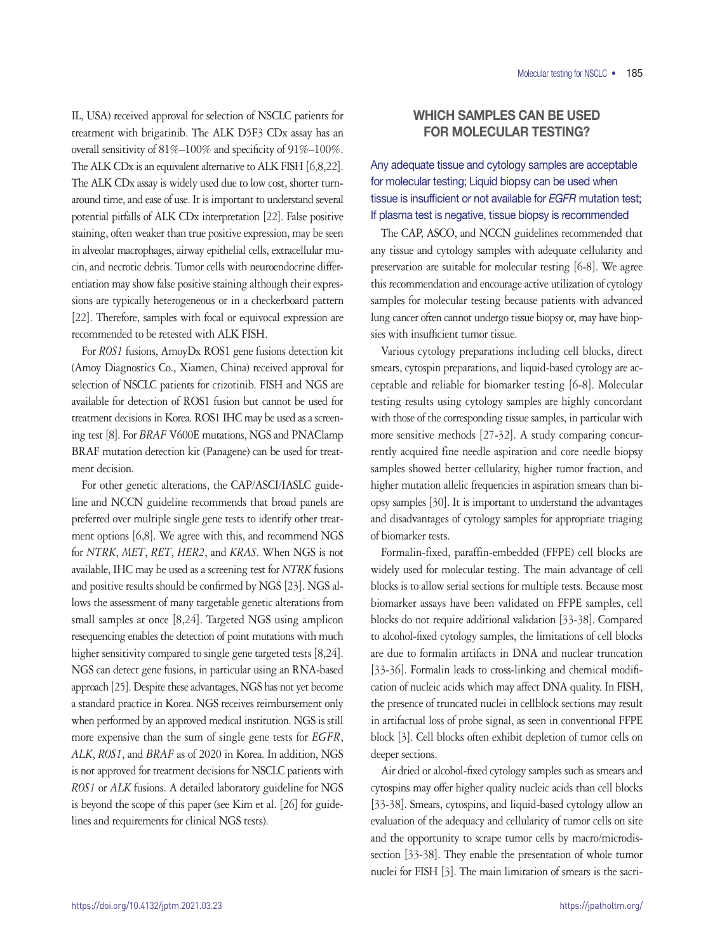IL, USA) received approval for selection of NSCLC patients for treatment with brigatinib. The ALK D5F3 CDx assay has an overall sensitivity of 81%–100% and specificity of 91%–100%. The ALK CDx is an equivalent alternative to ALK FISH [6,8,22]. The ALK CDx assay is widely used due to low cost, shorter turnaround time, and ease of use. It is important to understand several potential pitfalls of ALK CDx interpretation [22]. False positive staining, often weaker than true positive expression, may be seen in alveolar macrophages, airway epithelial cells, extracellular mucin, and necrotic debris. Tumor cells with neuroendocrine differentiation may show false positive staining although their expressions are typically heterogeneous or in a checkerboard pattern [22]. Therefore, samples with focal or equivocal expression are recommended to be retested with ALK FISH.

For *ROS1* fusions, AmoyDx ROS1 gene fusions detection kit (Amoy Diagnostics Co., Xiamen, China) received approval for selection of NSCLC patients for crizotinib. FISH and NGS are available for detection of ROS1 fusion but cannot be used for treatment decisions in Korea. ROS1 IHC may be used as a screening test [8]. For *BRAF* V600E mutations, NGS and PNAClamp BRAF mutation detection kit (Panagene) can be used for treatment decision.

For other genetic alterations, the CAP/ASCI/IASLC guideline and NCCN guideline recommends that broad panels are preferred over multiple single gene tests to identify other treatment options [6,8]. We agree with this, and recommend NGS for *NTRK*, *MET*, *RET*, *HER2*, and *KRAS*. When NGS is not available, IHC may be used as a screening test for *NTRK* fusions and positive results should be confirmed by NGS [23]. NGS allows the assessment of many targetable genetic alterations from small samples at once [8,24]. Targeted NGS using amplicon resequencing enables the detection of point mutations with much higher sensitivity compared to single gene targeted tests [8,24]. NGS can detect gene fusions, in particular using an RNA-based approach [25]. Despite these advantages, NGS has not yet become a standard practice in Korea. NGS receives reimbursement only when performed by an approved medical institution. NGS is still more expensive than the sum of single gene tests for *EGFR*, *ALK*, *ROS1*, and *BRAF* as of 2020 in Korea. In addition, NGS is not approved for treatment decisions for NSCLC patients with *ROS1* or *ALK* fusions. A detailed laboratory guideline for NGS is beyond the scope of this paper (see Kim et al. [26] for guidelines and requirements for clinical NGS tests).

# WHICH SAMPLES CAN BE USED FOR MOLECULAR TESTING?

# Any adequate tissue and cytology samples are acceptable for molecular testing; Liquid biopsy can be used when tissue is insufficient or not available for *EGFR* mutation test; If plasma test is negative, tissue biopsy is recommended

The CAP, ASCO, and NCCN guidelines recommended that any tissue and cytology samples with adequate cellularity and preservation are suitable for molecular testing [6-8]. We agree this recommendation and encourage active utilization of cytology samples for molecular testing because patients with advanced lung cancer often cannot undergo tissue biopsy or, may have biopsies with insufficient tumor tissue.

Various cytology preparations including cell blocks, direct smears, cytospin preparations, and liquid-based cytology are acceptable and reliable for biomarker testing [6-8]. Molecular testing results using cytology samples are highly concordant with those of the corresponding tissue samples, in particular with more sensitive methods [27-32]. A study comparing concurrently acquired fine needle aspiration and core needle biopsy samples showed better cellularity, higher tumor fraction, and higher mutation allelic frequencies in aspiration smears than biopsy samples [30]. It is important to understand the advantages and disadvantages of cytology samples for appropriate triaging of biomarker tests.

Formalin-fixed, paraffin-embedded (FFPE) cell blocks are widely used for molecular testing. The main advantage of cell blocks is to allow serial sections for multiple tests. Because most biomarker assays have been validated on FFPE samples, cell blocks do not require additional validation [33-38]. Compared to alcohol-fixed cytology samples, the limitations of cell blocks are due to formalin artifacts in DNA and nuclear truncation [33-36]. Formalin leads to cross-linking and chemical modification of nucleic acids which may affect DNA quality. In FISH, the presence of truncated nuclei in cellblock sections may result in artifactual loss of probe signal, as seen in conventional FFPE block [3]. Cell blocks often exhibit depletion of tumor cells on deeper sections.

Air dried or alcohol-fixed cytology samples such as smears and cytospins may offer higher quality nucleic acids than cell blocks [33-38]. Smears, cytospins, and liquid-based cytology allow an evaluation of the adequacy and cellularity of tumor cells on site and the opportunity to scrape tumor cells by macro/microdissection [33-38]. They enable the presentation of whole tumor nuclei for FISH [3]. The main limitation of smears is the sacri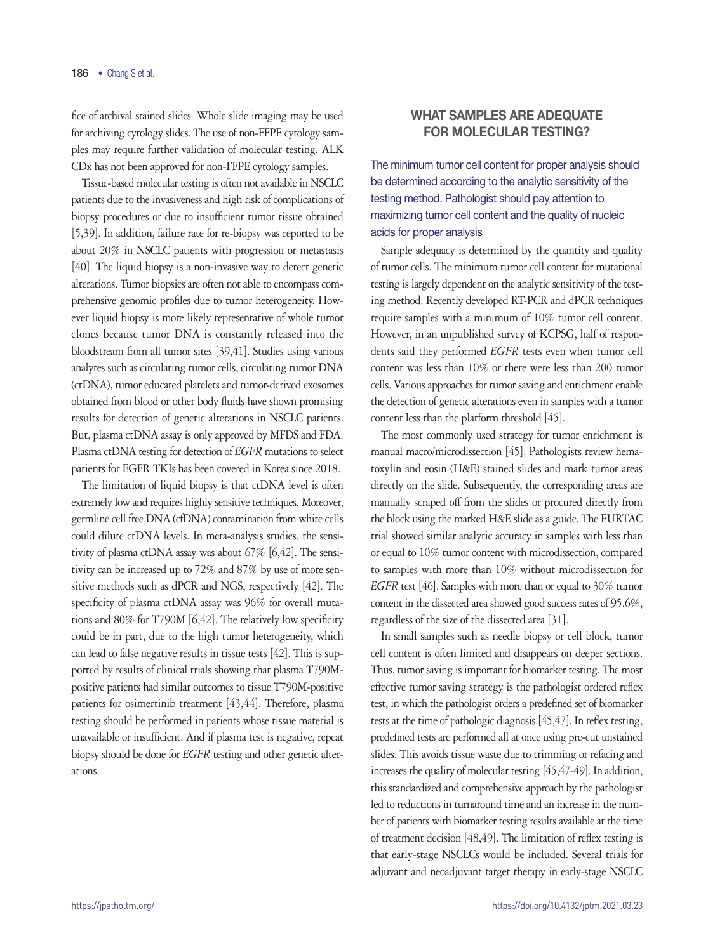fice of archival stained slides. Whole slide imaging may be used for archiving cytology slides. The use of non-FFPE cytology samples may require further validation of molecular testing. ALK CDx has not been approved for non-FFPE cytology samples.

Tissue-based molecular testing is often not available in NSCLC patients due to the invasiveness and high risk of complications of biopsy procedures or due to insufficient tumor tissue obtained [5,39]. In addition, failure rate for re-biopsy was reported to be about 20% in NSCLC patients with progression or metastasis [40]. The liquid biopsy is a non-invasive way to detect genetic alterations. Tumor biopsies are often not able to encompass comprehensive genomic profiles due to tumor heterogeneity. However liquid biopsy is more likely representative of whole tumor clones because tumor DNA is constantly released into the bloodstream from all tumor sites [39,41]. Studies using various analytes such as circulating tumor cells, circulating tumor DNA (ctDNA), tumor educated platelets and tumor-derived exosomes obtained from blood or other body fluids have shown promising results for detection of genetic alterations in NSCLC patients. But, plasma ctDNA assay is only approved by MFDS and FDA. Plasma ctDNA testing for detection of *EGFR* mutations to select patients for EGFR TKIs has been covered in Korea since 2018.

The limitation of liquid biopsy is that ctDNA level is often extremely low and requires highly sensitive techniques. Moreover, germline cell free DNA (cfDNA) contamination from white cells could dilute ctDNA levels. In meta-analysis studies, the sensitivity of plasma ctDNA assay was about 67% [6,42]. The sensitivity can be increased up to 72% and 87% by use of more sensitive methods such as dPCR and NGS, respectively [42]. The specificity of plasma ctDNA assay was 96% for overall mutations and 80% for T790M [6,42]. The relatively low specificity could be in part, due to the high tumor heterogeneity, which can lead to false negative results in tissue tests [42]. This is supported by results of clinical trials showing that plasma T790Mpositive patients had similar outcomes to tissue T790M-positive patients for osimertinib treatment [43,44]. Therefore, plasma testing should be performed in patients whose tissue material is unavailable or insufficient. And if plasma test is negative, repeat biopsy should be done for *EGFR* testing and other genetic alterations.

# WHAT SAMPLES ARE ADEQUATE FOR MOLECULAR TESTING?

The minimum tumor cell content for proper analysis should be determined according to the analytic sensitivity of the testing method. Pathologist should pay attention to maximizing tumor cell content and the quality of nucleic acids for proper analysis

Sample adequacy is determined by the quantity and quality of tumor cells. The minimum tumor cell content for mutational testing is largely dependent on the analytic sensitivity of the testing method. Recently developed RT-PCR and dPCR techniques require samples with a minimum of 10% tumor cell content. However, in an unpublished survey of KCPSG, half of respondents said they performed *EGFR* tests even when tumor cell content was less than 10% or there were less than 200 tumor cells. Various approaches for tumor saving and enrichment enable the detection of genetic alterations even in samples with a tumor content less than the platform threshold [45].

The most commonly used strategy for tumor enrichment is manual macro/microdissection [45]. Pathologists review hematoxylin and eosin (H&E) stained slides and mark tumor areas directly on the slide. Subsequently, the corresponding areas are manually scraped off from the slides or procured directly from the block using the marked H&E slide as a guide. The EURTAC trial showed similar analytic accuracy in samples with less than or equal to 10% tumor content with microdissection, compared to samples with more than 10% without microdissection for *EGFR* test [46]. Samples with more than or equal to 30% tumor content in the dissected area showed good success rates of 95.6%, regardless of the size of the dissected area [31].

In small samples such as needle biopsy or cell block, tumor cell content is often limited and disappears on deeper sections. Thus, tumor saving is important for biomarker testing. The most effective tumor saving strategy is the pathologist ordered reflex test, in which the pathologist orders a predefined set of biomarker tests at the time of pathologic diagnosis [45,47]. In reflex testing, predefined tests are performed all at once using pre-cut unstained slides. This avoids tissue waste due to trimming or refacing and increases the quality of molecular testing [45,47-49]. In addition, this standardized and comprehensive approach by the pathologist led to reductions in turnaround time and an increase in the number of patients with biomarker testing results available at the time of treatment decision [48,49]. The limitation of reflex testing is that early-stage NSCLCs would be included. Several trials for adjuvant and neoadjuvant target therapy in early-stage NSCLC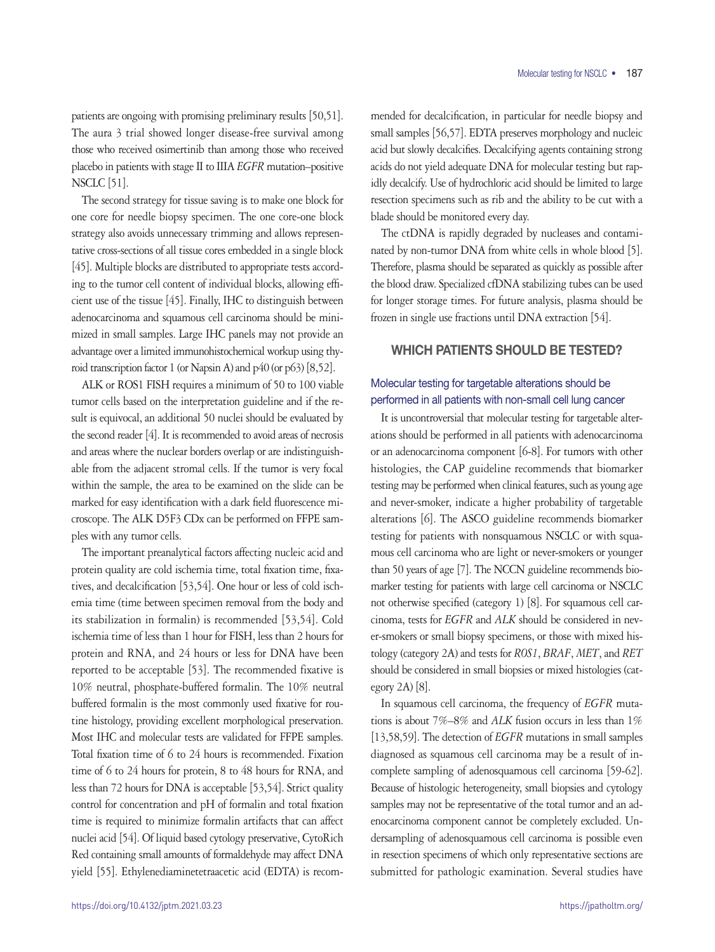patients are ongoing with promising preliminary results [50,51]. The aura 3 trial showed longer disease-free survival among those who received osimertinib than among those who received placebo in patients with stage II to IIIA *EGFR* mutation–positive NSCLC [51].

The second strategy for tissue saving is to make one block for one core for needle biopsy specimen. The one core-one block strategy also avoids unnecessary trimming and allows representative cross-sections of all tissue cores embedded in a single block [45]. Multiple blocks are distributed to appropriate tests according to the tumor cell content of individual blocks, allowing efficient use of the tissue [45]. Finally, IHC to distinguish between adenocarcinoma and squamous cell carcinoma should be minimized in small samples. Large IHC panels may not provide an advantage over a limited immunohistochemical workup using thyroid transcription factor 1 (or Napsin A) and p40 (or p63) [8,52].

ALK or ROS1 FISH requires a minimum of 50 to 100 viable tumor cells based on the interpretation guideline and if the result is equivocal, an additional 50 nuclei should be evaluated by the second reader [4]. It is recommended to avoid areas of necrosis and areas where the nuclear borders overlap or are indistinguishable from the adjacent stromal cells. If the tumor is very focal within the sample, the area to be examined on the slide can be marked for easy identification with a dark field fluorescence microscope. The ALK D5F3 CDx can be performed on FFPE samples with any tumor cells.

The important preanalytical factors affecting nucleic acid and protein quality are cold ischemia time, total fixation time, fixatives, and decalcification [53,54]. One hour or less of cold ischemia time (time between specimen removal from the body and its stabilization in formalin) is recommended [53,54]. Cold ischemia time of less than 1 hour for FISH, less than 2 hours for protein and RNA, and 24 hours or less for DNA have been reported to be acceptable [53]. The recommended fixative is 10% neutral, phosphate-buffered formalin. The 10% neutral buffered formalin is the most commonly used fixative for routine histology, providing excellent morphological preservation. Most IHC and molecular tests are validated for FFPE samples. Total fixation time of 6 to 24 hours is recommended. Fixation time of 6 to 24 hours for protein, 8 to 48 hours for RNA, and less than 72 hours for DNA is acceptable [53,54]. Strict quality control for concentration and pH of formalin and total fixation time is required to minimize formalin artifacts that can affect nuclei acid [54]. Of liquid based cytology preservative, CytoRich Red containing small amounts of formaldehyde may affect DNA yield [55]. Ethylenediaminetetraacetic acid (EDTA) is recommended for decalcification, in particular for needle biopsy and small samples [56,57]. EDTA preserves morphology and nucleic acid but slowly decalcifies. Decalcifying agents containing strong acids do not yield adequate DNA for molecular testing but rapidly decalcify. Use of hydrochloric acid should be limited to large resection specimens such as rib and the ability to be cut with a blade should be monitored every day.

The ctDNA is rapidly degraded by nucleases and contaminated by non-tumor DNA from white cells in whole blood [5]. Therefore, plasma should be separated as quickly as possible after the blood draw. Specialized cfDNA stabilizing tubes can be used for longer storage times. For future analysis, plasma should be frozen in single use fractions until DNA extraction [54].

### WHICH PATIENTS SHOULD BE TESTED?

# Molecular testing for targetable alterations should be performed in all patients with non-small cell lung cancer

It is uncontroversial that molecular testing for targetable alterations should be performed in all patients with adenocarcinoma or an adenocarcinoma component [6-8]. For tumors with other histologies, the CAP guideline recommends that biomarker testing may be performed when clinical features, such as young age and never-smoker, indicate a higher probability of targetable alterations [6]. The ASCO guideline recommends biomarker testing for patients with nonsquamous NSCLC or with squamous cell carcinoma who are light or never-smokers or younger than 50 years of age [7]. The NCCN guideline recommends biomarker testing for patients with large cell carcinoma or NSCLC not otherwise specified (category 1) [8]. For squamous cell carcinoma, tests for *EGFR* and *ALK* should be considered in never-smokers or small biopsy specimens, or those with mixed histology (category 2A) and tests for *ROS1*, *BRAF*, *MET*, and *RET* should be considered in small biopsies or mixed histologies (category 2A) [8].

In squamous cell carcinoma, the frequency of *EGFR* mutations is about 7%–8% and *ALK* fusion occurs in less than 1% [13,58,59]. The detection of *EGFR* mutations in small samples diagnosed as squamous cell carcinoma may be a result of incomplete sampling of adenosquamous cell carcinoma [59-62]. Because of histologic heterogeneity, small biopsies and cytology samples may not be representative of the total tumor and an adenocarcinoma component cannot be completely excluded. Undersampling of adenosquamous cell carcinoma is possible even in resection specimens of which only representative sections are submitted for pathologic examination. Several studies have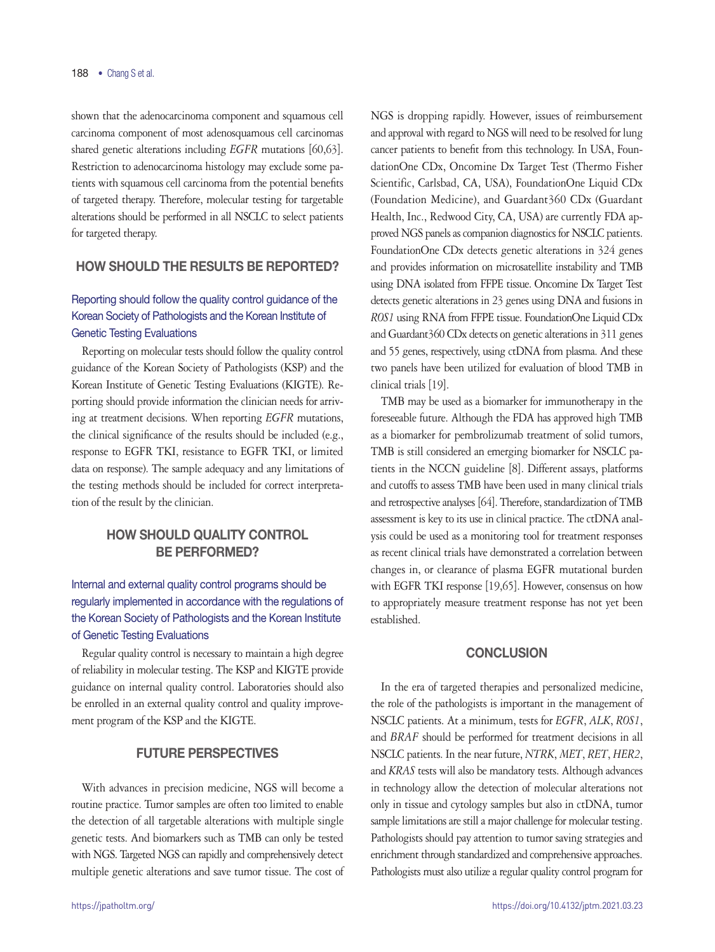shown that the adenocarcinoma component and squamous cell carcinoma component of most adenosquamous cell carcinomas shared genetic alterations including *EGFR* mutations [60,63]. Restriction to adenocarcinoma histology may exclude some patients with squamous cell carcinoma from the potential benefits of targeted therapy. Therefore, molecular testing for targetable alterations should be performed in all NSCLC to select patients for targeted therapy.

### HOW SHOULD THE RESULTS BE REPORTED?

# Reporting should follow the quality control guidance of the Korean Society of Pathologists and the Korean Institute of Genetic Testing Evaluations

Reporting on molecular tests should follow the quality control guidance of the Korean Society of Pathologists (KSP) and the Korean Institute of Genetic Testing Evaluations (KIGTE). Reporting should provide information the clinician needs for arriving at treatment decisions. When reporting *EGFR* mutations, the clinical significance of the results should be included (e.g., response to EGFR TKI, resistance to EGFR TKI, or limited data on response). The sample adequacy and any limitations of the testing methods should be included for correct interpretation of the result by the clinician.

# HOW SHOULD QUALITY CONTROL BE PERFORMED?

# Internal and external quality control programs should be regularly implemented in accordance with the regulations of the Korean Society of Pathologists and the Korean Institute of Genetic Testing Evaluations

Regular quality control is necessary to maintain a high degree of reliability in molecular testing. The KSP and KIGTE provide guidance on internal quality control. Laboratories should also be enrolled in an external quality control and quality improvement program of the KSP and the KIGTE.

### FUTURE PERSPECTIVES

With advances in precision medicine, NGS will become a routine practice. Tumor samples are often too limited to enable the detection of all targetable alterations with multiple single genetic tests. And biomarkers such as TMB can only be tested with NGS. Targeted NGS can rapidly and comprehensively detect multiple genetic alterations and save tumor tissue. The cost of NGS is dropping rapidly. However, issues of reimbursement and approval with regard to NGS will need to be resolved for lung cancer patients to benefit from this technology. In USA, FoundationOne CDx, Oncomine Dx Target Test (Thermo Fisher Scientific, Carlsbad, CA, USA), FoundationOne Liquid CDx (Foundation Medicine), and Guardant360 CDx (Guardant) Health, Inc., Redwood City, CA, USA) are currently FDA approved NGS panels as companion diagnostics for NSCLC patients. FoundationOne CDx detects genetic alterations in 324 genes and provides information on microsatellite instability and TMB using DNA isolated from FFPE tissue. Oncomine Dx Target Test detects genetic alterations in 23 genes using DNA and fusions in *ROS1* using RNA from FFPE tissue. FoundationOne Liquid CDx and Guardant360 CDx detects on genetic alterations in 311 genes and 55 genes, respectively, using ctDNA from plasma. And these two panels have been utilized for evaluation of blood TMB in clinical trials [19].

TMB may be used as a biomarker for immunotherapy in the foreseeable future. Although the FDA has approved high TMB as a biomarker for pembrolizumab treatment of solid tumors, TMB is still considered an emerging biomarker for NSCLC patients in the NCCN guideline [8]. Different assays, platforms and cutoffs to assess TMB have been used in many clinical trials and retrospective analyses [64]. Therefore, standardization of TMB assessment is key to its use in clinical practice. The ctDNA analysis could be used as a monitoring tool for treatment responses as recent clinical trials have demonstrated a correlation between changes in, or clearance of plasma EGFR mutational burden with EGFR TKI response [19,65]. However, consensus on how to appropriately measure treatment response has not yet been established.

### **CONCLUSION**

In the era of targeted therapies and personalized medicine, the role of the pathologists is important in the management of NSCLC patients. At a minimum, tests for *EGFR*, *ALK*, *ROS1*, and *BRAF* should be performed for treatment decisions in all NSCLC patients. In the near future, *NTRK*, *MET*, *RET*, *HER2*, and *KRAS* tests will also be mandatory tests. Although advances in technology allow the detection of molecular alterations not only in tissue and cytology samples but also in ctDNA, tumor sample limitations are still a major challenge for molecular testing. Pathologists should pay attention to tumor saving strategies and enrichment through standardized and comprehensive approaches. Pathologists must also utilize a regular quality control program for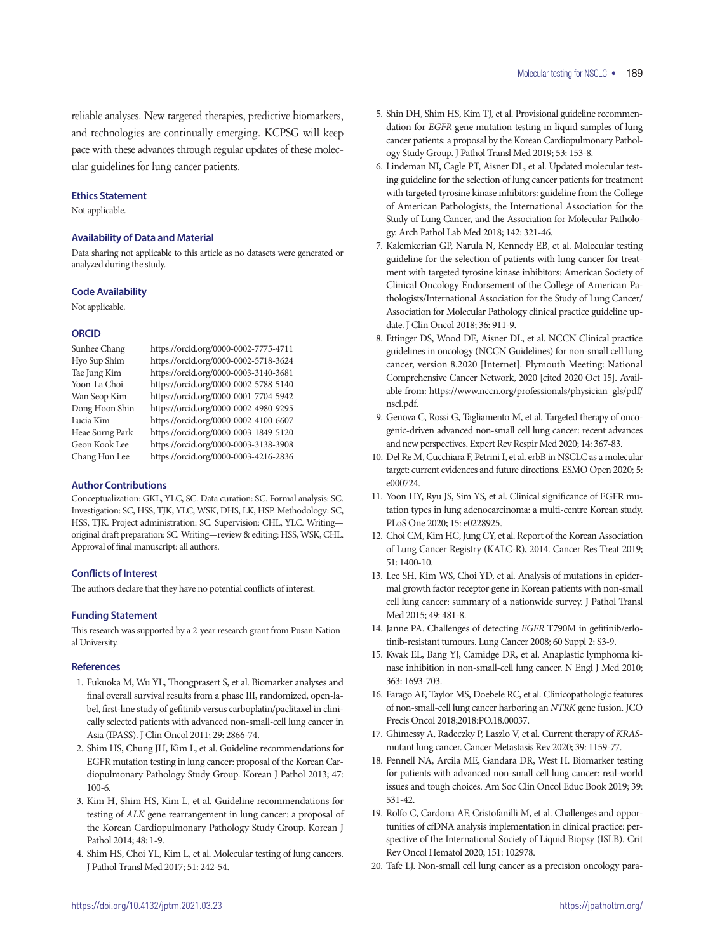reliable analyses. New targeted therapies, predictive biomarkers, and technologies are continually emerging. KCPSG will keep pace with these advances through regular updates of these molecular guidelines for lung cancer patients.

#### **Ethics Statement**

Not applicable.

#### **Availability of Data and Material**

Data sharing not applicable to this article as no datasets were generated or analyzed during the study.

#### **Code Availability**

Not applicable.

#### **ORCID**

Sunhee Chang https://orcid.org/0000-0002-7775-4711 Hyo Sup Shim https://orcid.org/0000-0002-5718-3624 Tae Jung Kim https://orcid.org/0000-0003-3140-3681 https://orcid.org/0000-0002-5788-5140 Wan Seop Kim https://orcid.org/0000-0001-7704-5942 Dong Hoon Shin https://orcid.org/0000-0002-4980-9295 Lucia Kim https://orcid.org/0000-0002-4100-6607 Heae Surng Park https://orcid.org/0000-0003-1849-5120 Geon Kook Lee https://orcid.org/0000-0003-3138-3908 Chang Hun Lee https://orcid.org/0000-0003-4216-2836

#### **Author Contributions**

Conceptualization: GKL, YLC, SC. Data curation: SC. Formal analysis: SC. Investigation: SC, HSS, TJK, YLC, WSK, DHS, LK, HSP. Methodology: SC, HSS, TJK. Project administration: SC. Supervision: CHL, YLC. Writing original draft preparation: SC. Writing—review & editing: HSS, WSK, CHL. Approval of final manuscript: all authors.

#### **Conflicts of Interest**

The authors declare that they have no potential conflicts of interest.

#### **Funding Statement**

This research was supported by a 2-year research grant from Pusan National University.

#### **References**

- 1. Fukuoka M, Wu YL, Thongprasert S, et al. Biomarker analyses and final overall survival results from a phase III, randomized, open-label, first-line study of gefitinib versus carboplatin/paclitaxel in clinically selected patients with advanced non-small-cell lung cancer in Asia (IPASS). J Clin Oncol 2011; 29: 2866-74.
- 2. Shim HS, Chung JH, Kim L, et al. Guideline recommendations for EGFR mutation testing in lung cancer: proposal of the Korean Cardiopulmonary Pathology Study Group. Korean J Pathol 2013; 47: 100-6.
- 3. Kim H, Shim HS, Kim L, et al. Guideline recommendations for testing of *ALK* gene rearrangement in lung cancer: a proposal of the Korean Cardiopulmonary Pathology Study Group. Korean J Pathol 2014; 48: 1-9.
- 4. Shim HS, Choi YL, Kim L, et al. Molecular testing of lung cancers. J Pathol Transl Med 2017; 51: 242-54.
- 5. Shin DH, Shim HS, Kim TJ, et al. Provisional guideline recommendation for *EGFR* gene mutation testing in liquid samples of lung cancer patients: a proposal by the Korean Cardiopulmonary Pathology Study Group. J Pathol Transl Med 2019; 53: 153-8.
- 6. Lindeman NI, Cagle PT, Aisner DL, et al. Updated molecular testing guideline for the selection of lung cancer patients for treatment with targeted tyrosine kinase inhibitors: guideline from the College of American Pathologists, the International Association for the Study of Lung Cancer, and the Association for Molecular Pathology. Arch Pathol Lab Med 2018; 142: 321-46.
- 7. Kalemkerian GP, Narula N, Kennedy EB, et al. Molecular testing guideline for the selection of patients with lung cancer for treatment with targeted tyrosine kinase inhibitors: American Society of Clinical Oncology Endorsement of the College of American Pathologists/International Association for the Study of Lung Cancer/ Association for Molecular Pathology clinical practice guideline update. J Clin Oncol 2018; 36: 911-9.
- 8. Ettinger DS, Wood DE, Aisner DL, et al. NCCN Clinical practice guidelines in oncology (NCCN Guidelines) for non-small cell lung cancer, version 8.2020 [Internet]. Plymouth Meeting: National Comprehensive Cancer Network, 2020 [cited 2020 Oct 15]. Available from: [https://www.nccn.org/professionals/physician\\_gls/pdf/](https://www.nccn.org/professionals/physician_gls/pdf/nscl.pdf) [nscl.pdf.](https://www.nccn.org/professionals/physician_gls/pdf/nscl.pdf)
- 9. Genova C, Rossi G, Tagliamento M, et al. Targeted therapy of oncogenic-driven advanced non-small cell lung cancer: recent advances and new perspectives. Expert Rev Respir Med 2020; 14: 367-83.
- 10. Del Re M, Cucchiara F, Petrini I, et al. erbB in NSCLC as a molecular target: current evidences and future directions. ESMO Open 2020; 5: e000724.
- 11. Yoon HY, Ryu JS, Sim YS, et al. Clinical significance of EGFR mutation types in lung adenocarcinoma: a multi-centre Korean study. PLoS One 2020; 15: e0228925.
- 12. Choi CM, Kim HC, Jung CY, et al. Report of the Korean Association of Lung Cancer Registry (KALC-R), 2014. Cancer Res Treat 2019; 51: 1400-10.
- 13. Lee SH, Kim WS, Choi YD, et al. Analysis of mutations in epidermal growth factor receptor gene in Korean patients with non-small cell lung cancer: summary of a nationwide survey. J Pathol Transl Med 2015; 49: 481-8.
- 14. Janne PA. Challenges of detecting *EGFR* T790M in gefitinib/erlotinib-resistant tumours. Lung Cancer 2008; 60 Suppl 2: S3-9.
- 15. Kwak EL, Bang YJ, Camidge DR, et al. Anaplastic lymphoma kinase inhibition in non-small-cell lung cancer. N Engl J Med 2010; 363: 1693-703.
- 16. Farago AF, Taylor MS, Doebele RC, et al. Clinicopathologic features of non-small-cell lung cancer harboring an *NTRK* gene fusion. JCO Precis Oncol 2018;2018:PO.18.00037.
- 17. Ghimessy A, Radeczky P, Laszlo V, et al. Current therapy of *KRAS*mutant lung cancer. Cancer Metastasis Rev 2020; 39: 1159-77.
- 18. Pennell NA, Arcila ME, Gandara DR, West H. Biomarker testing for patients with advanced non-small cell lung cancer: real-world issues and tough choices. Am Soc Clin Oncol Educ Book 2019; 39: 531-42.
- 19. Rolfo C, Cardona AF, Cristofanilli M, et al. Challenges and opportunities of cfDNA analysis implementation in clinical practice: perspective of the International Society of Liquid Biopsy (ISLB). Crit Rev Oncol Hematol 2020; 151: 102978.
- 20. Tafe LJ. Non-small cell lung cancer as a precision oncology para-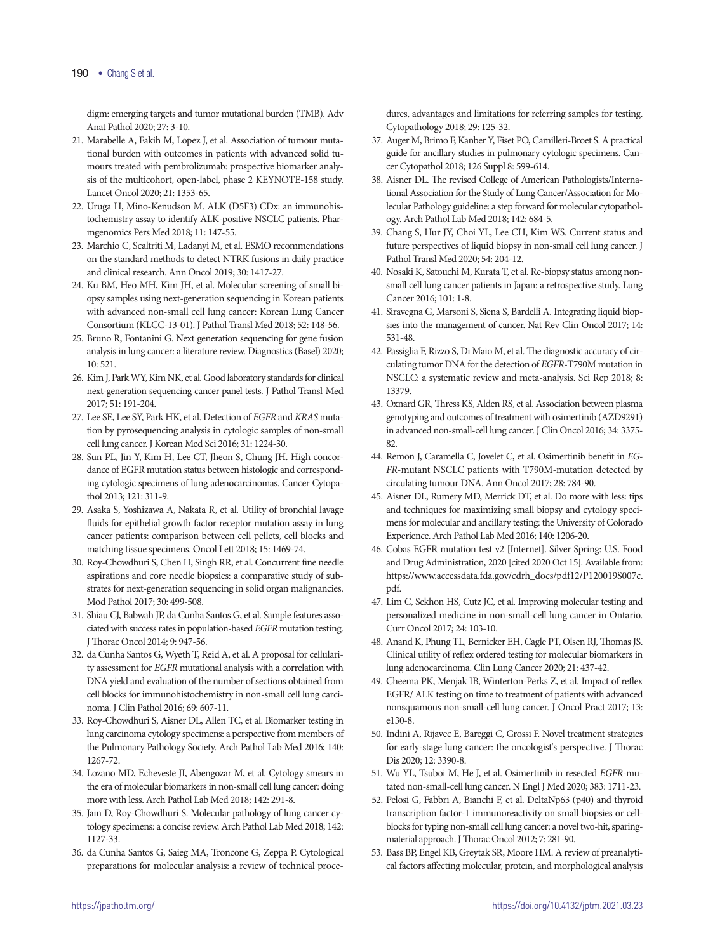digm: emerging targets and tumor mutational burden (TMB). Adv Anat Pathol 2020; 27: 3-10.

- 21. Marabelle A, Fakih M, Lopez J, et al. Association of tumour mutational burden with outcomes in patients with advanced solid tumours treated with pembrolizumab: prospective biomarker analysis of the multicohort, open-label, phase 2 KEYNOTE-158 study. Lancet Oncol 2020; 21: 1353-65.
- 22. Uruga H, Mino-Kenudson M. ALK (D5F3) CDx: an immunohistochemistry assay to identify ALK-positive NSCLC patients. Pharmgenomics Pers Med 2018; 11: 147-55.
- 23. Marchio C, Scaltriti M, Ladanyi M, et al. ESMO recommendations on the standard methods to detect NTRK fusions in daily practice and clinical research. Ann Oncol 2019; 30: 1417-27.
- 24. Ku BM, Heo MH, Kim JH, et al. Molecular screening of small biopsy samples using next-generation sequencing in Korean patients with advanced non-small cell lung cancer: Korean Lung Cancer Consortium (KLCC-13-01). J Pathol Transl Med 2018; 52: 148-56.
- 25. Bruno R, Fontanini G. Next generation sequencing for gene fusion analysis in lung cancer: a literature review. Diagnostics (Basel) 2020; 10: 521.
- 26. Kim J, Park WY, Kim NK, et al. Good laboratory standards for clinical next-generation sequencing cancer panel tests. J Pathol Transl Med 2017; 51: 191-204.
- 27. Lee SE, Lee SY, Park HK, et al. Detection of *EGFR* and *KRAS* mutation by pyrosequencing analysis in cytologic samples of non-small cell lung cancer. J Korean Med Sci 2016; 31: 1224-30.
- 28. Sun PL, Jin Y, Kim H, Lee CT, Jheon S, Chung JH. High concordance of EGFR mutation status between histologic and corresponding cytologic specimens of lung adenocarcinomas. Cancer Cytopathol 2013; 121: 311-9.
- 29. Asaka S, Yoshizawa A, Nakata R, et al. Utility of bronchial lavage fluids for epithelial growth factor receptor mutation assay in lung cancer patients: comparison between cell pellets, cell blocks and matching tissue specimens. Oncol Lett 2018; 15: 1469-74.
- 30. Roy-Chowdhuri S, Chen H, Singh RR, et al. Concurrent fine needle aspirations and core needle biopsies: a comparative study of substrates for next-generation sequencing in solid organ malignancies. Mod Pathol 2017; 30: 499-508.
- 31. Shiau CJ, Babwah JP, da Cunha Santos G, et al. Sample features associated with success rates in population-based *EGFR* mutation testing. J Thorac Oncol 2014; 9: 947-56.
- 32. da Cunha Santos G, Wyeth T, Reid A, et al. A proposal for cellularity assessment for *EGFR* mutational analysis with a correlation with DNA yield and evaluation of the number of sections obtained from cell blocks for immunohistochemistry in non-small cell lung carcinoma. J Clin Pathol 2016; 69: 607-11.
- 33. Roy-Chowdhuri S, Aisner DL, Allen TC, et al. Biomarker testing in lung carcinoma cytology specimens: a perspective from members of the Pulmonary Pathology Society. Arch Pathol Lab Med 2016; 140: 1267-72.
- 34. Lozano MD, Echeveste JI, Abengozar M, et al. Cytology smears in the era of molecular biomarkers in non-small cell lung cancer: doing more with less. Arch Pathol Lab Med 2018; 142: 291-8.
- 35. Jain D, Roy-Chowdhuri S. Molecular pathology of lung cancer cytology specimens: a concise review. Arch Pathol Lab Med 2018; 142: 1127-33.
- 36. da Cunha Santos G, Saieg MA, Troncone G, Zeppa P. Cytological preparations for molecular analysis: a review of technical proce-

dures, advantages and limitations for referring samples for testing. Cytopathology 2018; 29: 125-32.

- 37. Auger M, Brimo F, Kanber Y, Fiset PO, Camilleri-Broet S. A practical guide for ancillary studies in pulmonary cytologic specimens. Cancer Cytopathol 2018; 126 Suppl 8: 599-614.
- 38. Aisner DL. The revised College of American Pathologists/International Association for the Study of Lung Cancer/Association for Molecular Pathology guideline: a step forward for molecular cytopathology. Arch Pathol Lab Med 2018; 142: 684-5.
- 39. Chang S, Hur JY, Choi YL, Lee CH, Kim WS. Current status and future perspectives of liquid biopsy in non-small cell lung cancer. J Pathol Transl Med 2020; 54: 204-12.
- 40. Nosaki K, Satouchi M, Kurata T, et al. Re-biopsy status among nonsmall cell lung cancer patients in Japan: a retrospective study. Lung Cancer 2016; 101: 1-8.
- 41. Siravegna G, Marsoni S, Siena S, Bardelli A. Integrating liquid biopsies into the management of cancer. Nat Rev Clin Oncol 2017; 14: 531-48.
- 42. Passiglia F, Rizzo S, Di Maio M, et al. The diagnostic accuracy of circulating tumor DNA for the detection of *EGFR*-T790M mutation in NSCLC: a systematic review and meta-analysis. Sci Rep 2018; 8: 13379.
- 43. Oxnard GR, Thress KS, Alden RS, et al. Association between plasma genotyping and outcomes of treatment with osimertinib (AZD9291) in advanced non-small-cell lung cancer. J Clin Oncol 2016; 34: 3375- 82.
- 44. Remon J, Caramella C, Jovelet C, et al. Osimertinib benefit in *EG-FR*-mutant NSCLC patients with T790M-mutation detected by circulating tumour DNA. Ann Oncol 2017; 28: 784-90.
- 45. Aisner DL, Rumery MD, Merrick DT, et al. Do more with less: tips and techniques for maximizing small biopsy and cytology specimens for molecular and ancillary testing: the University of Colorado Experience. Arch Pathol Lab Med 2016; 140: 1206-20.
- 46. Cobas EGFR mutation test v2 [Internet]. Silver Spring: U.S. Food and Drug Administration, 2020 [cited 2020 Oct 15]. Available from: [https://www.accessdata.fda.gov/cdrh\\_docs/pdf12/P120019S007c.](https://www.accessdata.fda.gov/cdrh_docs/pdf12/P120019S007c.pdf) [pdf.](https://www.accessdata.fda.gov/cdrh_docs/pdf12/P120019S007c.pdf)
- 47. Lim C, Sekhon HS, Cutz JC, et al. Improving molecular testing and personalized medicine in non-small-cell lung cancer in Ontario. Curr Oncol 2017; 24: 103-10.
- 48. Anand K, Phung TL, Bernicker EH, Cagle PT, Olsen RJ, Thomas JS. Clinical utility of reflex ordered testing for molecular biomarkers in lung adenocarcinoma. Clin Lung Cancer 2020; 21: 437-42.
- 49. Cheema PK, Menjak IB, Winterton-Perks Z, et al. Impact of reflex EGFR/ ALK testing on time to treatment of patients with advanced nonsquamous non-small-cell lung cancer. J Oncol Pract 2017; 13: e130-8.
- 50. Indini A, Rijavec E, Bareggi C, Grossi F. Novel treatment strategies for early-stage lung cancer: the oncologist's perspective. J Thorac Dis 2020; 12: 3390-8.
- 51. Wu YL, Tsuboi M, He J, et al. Osimertinib in resected *EGFR*-mutated non-small-cell lung cancer. N Engl J Med 2020; 383: 1711-23.
- 52. Pelosi G, Fabbri A, Bianchi F, et al. DeltaNp63 (p40) and thyroid transcription factor-1 immunoreactivity on small biopsies or cellblocks for typing non-small cell lung cancer: a novel two-hit, sparingmaterial approach. J Thorac Oncol 2012; 7: 281-90.
- 53. Bass BP, Engel KB, Greytak SR, Moore HM. A review of preanalytical factors affecting molecular, protein, and morphological analysis